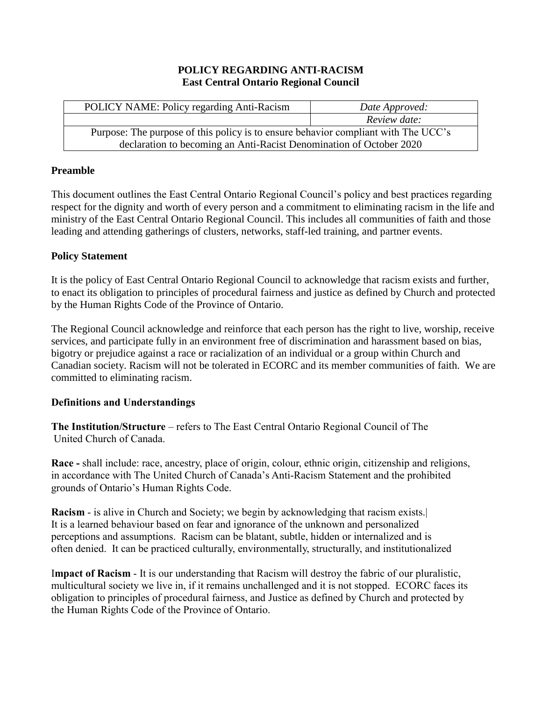## **POLICY REGARDING ANTI-RACISM East Central Ontario Regional Council**

| POLICY NAME: Policy regarding Anti-Racism                                          | Date Approved: |
|------------------------------------------------------------------------------------|----------------|
|                                                                                    | Review date:   |
| Purpose: The purpose of this policy is to ensure behavior compliant with The UCC's |                |
| declaration to becoming an Anti-Racist Denomination of October 2020                |                |

## **Preamble**

This document outlines the East Central Ontario Regional Council's policy and best practices regarding respect for the dignity and worth of every person and a commitment to eliminating racism in the life and ministry of the East Central Ontario Regional Council. This includes all communities of faith and those leading and attending gatherings of clusters, networks, staff-led training, and partner events.

## **Policy Statement**

It is the policy of East Central Ontario Regional Council to acknowledge that racism exists and further, to enact its obligation to principles of procedural fairness and justice as defined by Church and protected by the Human Rights Code of the Province of Ontario.

The Regional Council acknowledge and reinforce that each person has the right to live, worship, receive services, and participate fully in an environment free of discrimination and harassment based on bias, bigotry or prejudice against a race or racialization of an individual or a group within Church and Canadian society. Racism will not be tolerated in ECORC and its member communities of faith. We are committed to eliminating racism.

# **Definitions and Understandings**

**The Institution/Structure** – refers to The East Central Ontario Regional Council of The United Church of Canada.

**Race -** shall include: race, ancestry, place of origin, colour, ethnic origin, citizenship and religions, in accordance with The United Church of Canada's Anti-Racism Statement and the prohibited grounds of Ontario's Human Rights Code.

**Racism** - is alive in Church and Society; we begin by acknowledging that racism exists.| It is a learned behaviour based on fear and ignorance of the unknown and personalized perceptions and assumptions. Racism can be blatant, subtle, hidden or internalized and is often denied. It can be practiced culturally, environmentally, structurally, and institutionalized

I**mpact of Racism** - It is our understanding that Racism will destroy the fabric of our pluralistic, multicultural society we live in, if it remains unchallenged and it is not stopped. ECORC faces its obligation to principles of procedural fairness, and Justice as defined by Church and protected by the Human Rights Code of the Province of Ontario.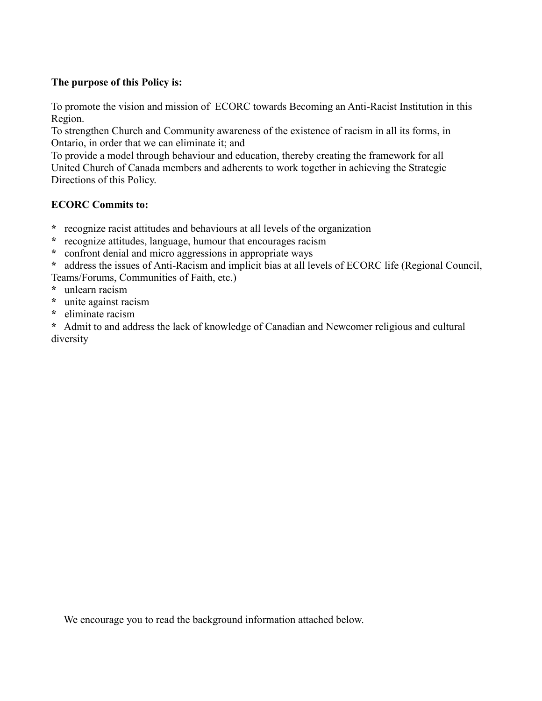# **The purpose of this Policy is:**

To promote the vision and mission of ECORC towards Becoming an Anti-Racist Institution in this Region.

To strengthen Church and Community awareness of the existence of racism in all its forms, in Ontario, in order that we can eliminate it; and

To provide a model through behaviour and education, thereby creating the framework for all United Church of Canada members and adherents to work together in achieving the Strategic Directions of this Policy.

# **ECORC Commits to:**

- **\*** recognize racist attitudes and behaviours at all levels of the organization
- **\*** recognize attitudes, language, humour that encourages racism
- **\*** confront denial and micro aggressions in appropriate ways
- **\*** address the issues of Anti-Racism and implicit bias at all levels of ECORC life (Regional Council, Teams/Forums, Communities of Faith, etc.)
- **\*** unlearn racism
- **\*** unite against racism
- **\*** eliminate racism

**\*** Admit to and address the lack of knowledge of Canadian and Newcomer religious and cultural diversity

We encourage you to read the background information attached below.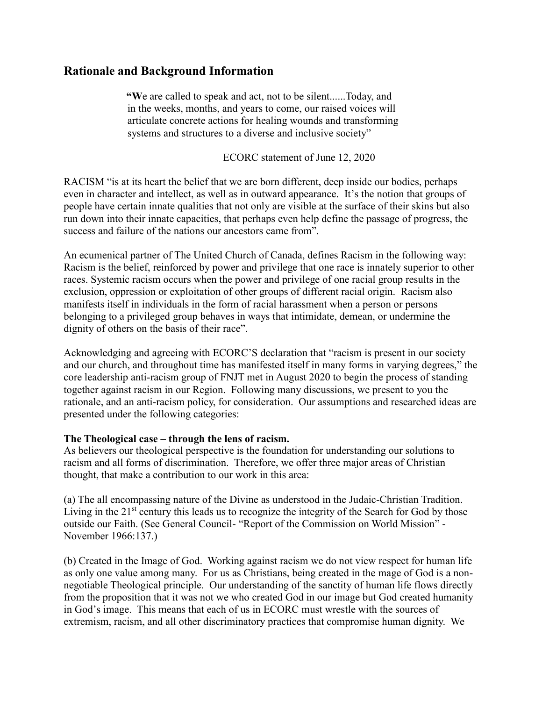# **Rationale and Background Information**

**"W**e are called to speak and act, not to be silent......Today, and in the weeks, months, and years to come, our raised voices will articulate concrete actions for healing wounds and transforming systems and structures to a diverse and inclusive society"

ECORC statement of June 12, 2020

RACISM "is at its heart the belief that we are born different, deep inside our bodies, perhaps even in character and intellect, as well as in outward appearance. It's the notion that groups of people have certain innate qualities that not only are visible at the surface of their skins but also run down into their innate capacities, that perhaps even help define the passage of progress, the success and failure of the nations our ancestors came from".

An ecumenical partner of The United Church of Canada, defines Racism in the following way: Racism is the belief, reinforced by power and privilege that one race is innately superior to other races. Systemic racism occurs when the power and privilege of one racial group results in the exclusion, oppression or exploitation of other groups of different racial origin. Racism also manifests itself in individuals in the form of racial harassment when a person or persons belonging to a privileged group behaves in ways that intimidate, demean, or undermine the dignity of others on the basis of their race".

Acknowledging and agreeing with ECORC'S declaration that "racism is present in our society and our church, and throughout time has manifested itself in many forms in varying degrees," the core leadership anti-racism group of FNJT met in August 2020 to begin the process of standing together against racism in our Region. Following many discussions, we present to you the rationale, and an anti-racism policy, for consideration. Our assumptions and researched ideas are presented under the following categories:

#### **The Theological case – through the lens of racism.**

As believers our theological perspective is the foundation for understanding our solutions to racism and all forms of discrimination. Therefore, we offer three major areas of Christian thought, that make a contribution to our work in this area:

(a) The all encompassing nature of the Divine as understood in the Judaic-Christian Tradition. Living in the  $21<sup>st</sup>$  century this leads us to recognize the integrity of the Search for God by those outside our Faith. (See General Council- "Report of the Commission on World Mission" - November 1966:137.)

(b) Created in the Image of God. Working against racism we do not view respect for human life as only one value among many. For us as Christians, being created in the mage of God is a nonnegotiable Theological principle. Our understanding of the sanctity of human life flows directly from the proposition that it was not we who created God in our image but God created humanity in God's image. This means that each of us in ECORC must wrestle with the sources of extremism, racism, and all other discriminatory practices that compromise human dignity. We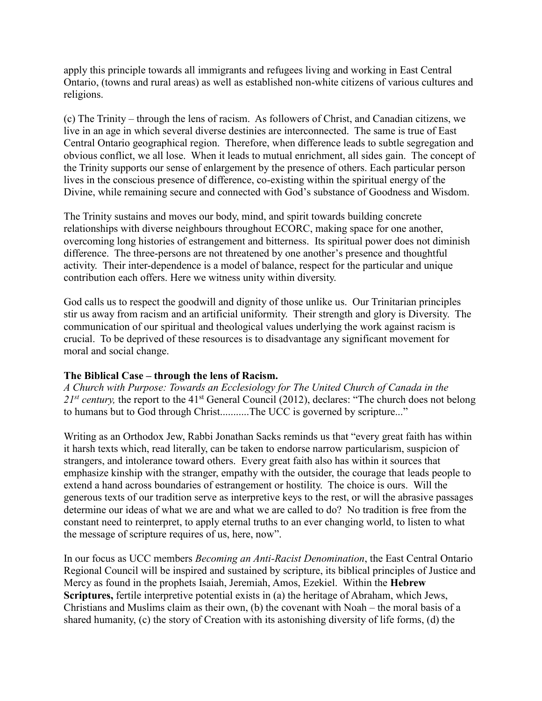apply this principle towards all immigrants and refugees living and working in East Central Ontario, (towns and rural areas) as well as established non-white citizens of various cultures and religions.

(c) The Trinity – through the lens of racism. As followers of Christ, and Canadian citizens, we live in an age in which several diverse destinies are interconnected. The same is true of East Central Ontario geographical region. Therefore, when difference leads to subtle segregation and obvious conflict, we all lose. When it leads to mutual enrichment, all sides gain. The concept of the Trinity supports our sense of enlargement by the presence of others. Each particular person lives in the conscious presence of difference, co-existing within the spiritual energy of the Divine, while remaining secure and connected with God's substance of Goodness and Wisdom.

The Trinity sustains and moves our body, mind, and spirit towards building concrete relationships with diverse neighbours throughout ECORC, making space for one another, overcoming long histories of estrangement and bitterness. Its spiritual power does not diminish difference. The three-persons are not threatened by one another's presence and thoughtful activity. Their inter-dependence is a model of balance, respect for the particular and unique contribution each offers. Here we witness unity within diversity.

God calls us to respect the goodwill and dignity of those unlike us. Our Trinitarian principles stir us away from racism and an artificial uniformity. Their strength and glory is Diversity. The communication of our spiritual and theological values underlying the work against racism is crucial. To be deprived of these resources is to disadvantage any significant movement for moral and social change.

#### **The Biblical Case – through the lens of Racism.**

*A Church with Purpose: Towards an Ecclesiology for The United Church of Canada in the*   $21<sup>st</sup>$  *century*, the report to the 41<sup>st</sup> General Council (2012), declares: "The church does not belong to humans but to God through Christ...........The UCC is governed by scripture..."

Writing as an Orthodox Jew, Rabbi Jonathan Sacks reminds us that "every great faith has within it harsh texts which, read literally, can be taken to endorse narrow particularism, suspicion of strangers, and intolerance toward others. Every great faith also has within it sources that emphasize kinship with the stranger, empathy with the outsider, the courage that leads people to extend a hand across boundaries of estrangement or hostility. The choice is ours. Will the generous texts of our tradition serve as interpretive keys to the rest, or will the abrasive passages determine our ideas of what we are and what we are called to do? No tradition is free from the constant need to reinterpret, to apply eternal truths to an ever changing world, to listen to what the message of scripture requires of us, here, now".

In our focus as UCC members *Becoming an Anti-Racist Denomination*, the East Central Ontario Regional Council will be inspired and sustained by scripture, its biblical principles of Justice and Mercy as found in the prophets Isaiah, Jeremiah, Amos, Ezekiel. Within the **Hebrew Scriptures,** fertile interpretive potential exists in (a) the heritage of Abraham, which Jews, Christians and Muslims claim as their own, (b) the covenant with Noah – the moral basis of a shared humanity, (c) the story of Creation with its astonishing diversity of life forms, (d) the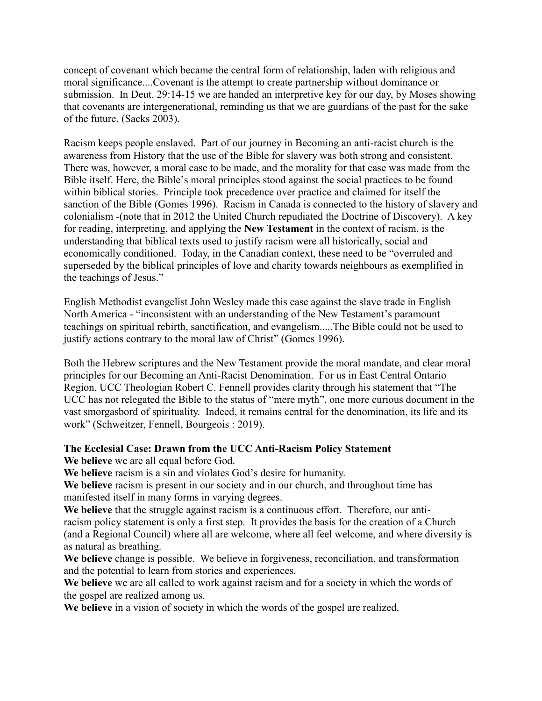concept of covenant which became the central form of relationship, laden with religious and moral significance....Covenant is the attempt to create partnership without dominance or submission. In Deut. 29:14-15 we are handed an interpretive key for our day, by Moses showing that covenants are intergenerational, reminding us that we are guardians of the past for the sake of the future. (Sacks 2003).

Racism keeps people enslaved. Part of our journey in Becoming an anti-racist church is the awareness from History that the use of the Bible for slavery was both strong and consistent. There was, however, a moral case to be made, and the morality for that case was made from the Bible itself. Here, the Bible's moral principles stood against the social practices to be found within biblical stories. Principle took precedence over practice and claimed for itself the sanction of the Bible (Gomes 1996). Racism in Canada is connected to the history of slavery and colonialism -(note that in 2012 the United Church repudiated the Doctrine of Discovery). A key for reading, interpreting, and applying the **New Testament** in the context of racism, is the understanding that biblical texts used to justify racism were all historically, social and economically conditioned. Today, in the Canadian context, these need to be "overruled and superseded by the biblical principles of love and charity towards neighbours as exemplified in the teachings of Jesus."

English Methodist evangelist John Wesley made this case against the slave trade in English North America - "inconsistent with an understanding of the New Testament's paramount teachings on spiritual rebirth, sanctification, and evangelism.....The Bible could not be used to justify actions contrary to the moral law of Christ" (Gomes 1996).

Both the Hebrew scriptures and the New Testament provide the moral mandate, and clear moral principles for our Becoming an Anti-Racist Denomination. For us in East Central Ontario Region, UCC Theologian Robert C. Fennell provides clarity through his statement that "The UCC has not relegated the Bible to the status of "mere myth", one more curious document in the vast smorgasbord of spirituality. Indeed, it remains central for the denomination, its life and its work" (Schweitzer, Fennell, Bourgeois : 2019).

#### **The Ecclesial Case: Drawn from the UCC Anti-Racism Policy Statement**

**We believe** we are all equal before God.

**We believe** racism is a sin and violates God's desire for humanity.

**We believe** racism is present in our society and in our church, and throughout time has manifested itself in many forms in varying degrees.

**We believe** that the struggle against racism is a continuous effort. Therefore, our antiracism policy statement is only a first step. It provides the basis for the creation of a Church (and a Regional Council) where all are welcome, where all feel welcome, and where diversity is as natural as breathing.

**We believe** change is possible. We believe in forgiveness, reconciliation, and transformation and the potential to learn from stories and experiences.

**We believe** we are all called to work against racism and for a society in which the words of the gospel are realized among us.

**We believe** in a vision of society in which the words of the gospel are realized.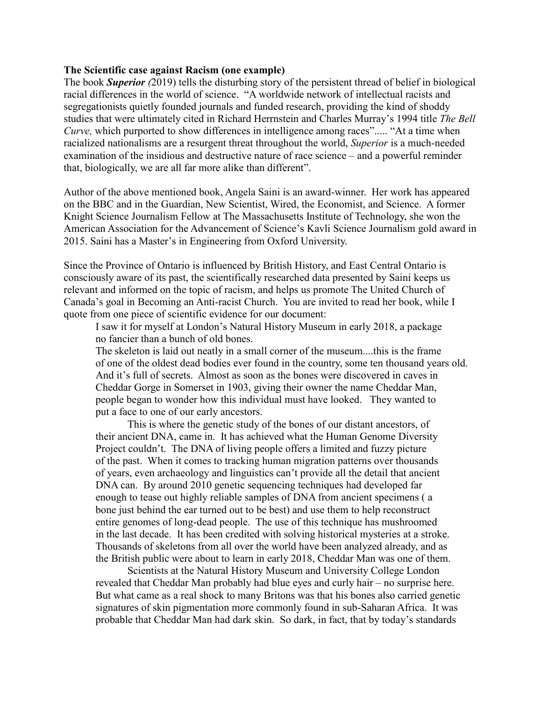#### **The Scientific case against Racism (one example)**

The book *Superior (*2019) tells the disturbing story of the persistent thread of belief in biological racial differences in the world of science. "A worldwide network of intellectual racists and segregationists quietly founded journals and funded research, providing the kind of shoddy studies that were ultimately cited in Richard Herrnstein and Charles Murray's 1994 title *The Bell Curve,* which purported to show differences in intelligence among races"..... "At a time when racialized nationalisms are a resurgent threat throughout the world, *Superior* is a much-needed examination of the insidious and destructive nature of race science – and a powerful reminder that, biologically, we are all far more alike than different".

Author of the above mentioned book, Angela Saini is an award-winner. Her work has appeared on the BBC and in the Guardian, New Scientist, Wired, the Economist, and Science. A former Knight Science Journalism Fellow at The Massachusetts Institute of Technology, she won the American Association for the Advancement of Science's Kavli Science Journalism gold award in 2015. Saini has a Master's in Engineering from Oxford University.

Since the Province of Ontario is influenced by British History, and East Central Ontario is consciously aware of its past, the scientifically researched data presented by Saini keeps us relevant and informed on the topic of racism, and helps us promote The United Church of Canada's goal in Becoming an Anti-racist Church. You are invited to read her book, while I quote from one piece of scientific evidence for our document:

I saw it for myself at London's Natural History Museum in early 2018, a package no fancier than a bunch of old bones.

The skeleton is laid out neatly in a small corner of the museum....this is the frame of one of the oldest dead bodies ever found in the country, some ten thousand years old. And it's full of secrets. Almost as soon as the bones were discovered in caves in Cheddar Gorge in Somerset in 1903, giving their owner the name Cheddar Man, people began to wonder how this individual must have looked. They wanted to put a face to one of our early ancestors.

This is where the genetic study of the bones of our distant ancestors, of their ancient DNA, came in. It has achieved what the Human Genome Diversity Project couldn't. The DNA of living people offers a limited and fuzzy picture of the past. When it comes to tracking human migration patterns over thousands of years, even archaeology and linguistics can't provide all the detail that ancient DNA can. By around 2010 genetic sequencing techniques had developed far enough to tease out highly reliable samples of DNA from ancient specimens ( a bone just behind the ear turned out to be best) and use them to help reconstruct entire genomes of long-dead people. The use of this technique has mushroomed in the last decade. It has been credited with solving historical mysteries at a stroke. Thousands of skeletons from all over the world have been analyzed already, and as the British public were about to learn in early 2018, Cheddar Man was one of them.

Scientists at the Natural History Museum and University College London revealed that Cheddar Man probably had blue eyes and curly hair – no surprise here. But what came as a real shock to many Britons was that his bones also carried genetic signatures of skin pigmentation more commonly found in sub-Saharan Africa. It was probable that Cheddar Man had dark skin. So dark, in fact, that by today's standards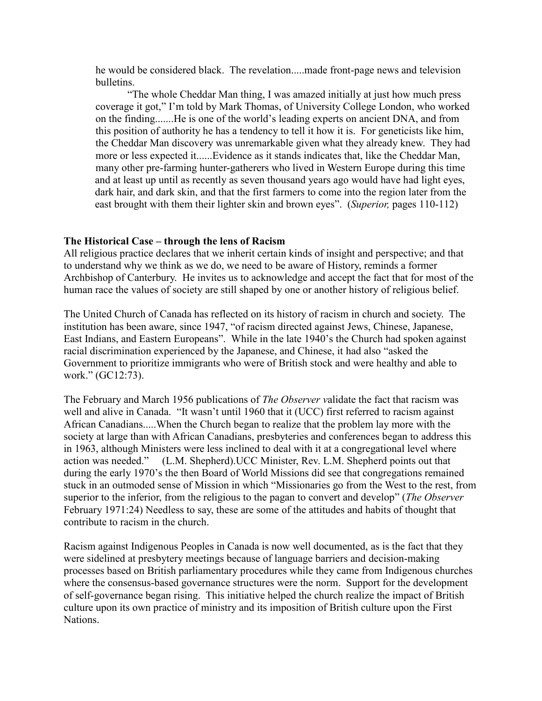he would be considered black. The revelation.....made front-page news and television bulletins.

"The whole Cheddar Man thing, I was amazed initially at just how much press coverage it got," I'm told by Mark Thomas, of University College London, who worked on the finding.......He is one of the world's leading experts on ancient DNA, and from this position of authority he has a tendency to tell it how it is. For geneticists like him, the Cheddar Man discovery was unremarkable given what they already knew. They had more or less expected it......Evidence as it stands indicates that, like the Cheddar Man, many other pre-farming hunter-gatherers who lived in Western Europe during this time and at least up until as recently as seven thousand years ago would have had light eyes, dark hair, and dark skin, and that the first farmers to come into the region later from the east brought with them their lighter skin and brown eyes". (*Superior,* pages 110-112)

#### **The Historical Case – through the lens of Racism**

All religious practice declares that we inherit certain kinds of insight and perspective; and that to understand why we think as we do, we need to be aware of History, reminds a former Archbishop of Canterbury. He invites us to acknowledge and accept the fact that for most of the human race the values of society are still shaped by one or another history of religious belief.

The United Church of Canada has reflected on its history of racism in church and society. The institution has been aware, since 1947, "of racism directed against Jews, Chinese, Japanese, East Indians, and Eastern Europeans". While in the late 1940's the Church had spoken against racial discrimination experienced by the Japanese, and Chinese, it had also "asked the Government to prioritize immigrants who were of British stock and were healthy and able to work." (GC12:73).

The February and March 1956 publications of *The Observer v*alidate the fact that racism was well and alive in Canada. "It wasn't until 1960 that it (UCC) first referred to racism against African Canadians.....When the Church began to realize that the problem lay more with the society at large than with African Canadians, presbyteries and conferences began to address this in 1963, although Ministers were less inclined to deal with it at a congregational level where action was needed." (L.M. Shepherd).UCC Minister, Rev. L.M. Shepherd points out that during the early 1970's the then Board of World Missions did see that congregations remained stuck in an outmoded sense of Mission in which "Missionaries go from the West to the rest, from superior to the inferior, from the religious to the pagan to convert and develop" (*The Observer* February 1971:24) Needless to say, these are some of the attitudes and habits of thought that contribute to racism in the church.

Racism against Indigenous Peoples in Canada is now well documented, as is the fact that they were sidelined at presbytery meetings because of language barriers and decision-making processes based on British parliamentary procedures while they came from Indigenous churches where the consensus-based governance structures were the norm. Support for the development of self-governance began rising. This initiative helped the church realize the impact of British culture upon its own practice of ministry and its imposition of British culture upon the First Nations.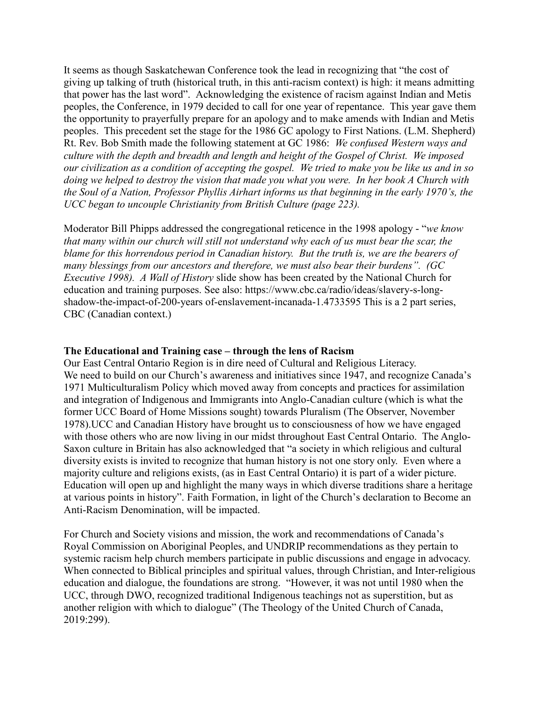It seems as though Saskatchewan Conference took the lead in recognizing that "the cost of giving up talking of truth (historical truth, in this anti-racism context) is high: it means admitting that power has the last word". Acknowledging the existence of racism against Indian and Metis peoples, the Conference, in 1979 decided to call for one year of repentance. This year gave them the opportunity to prayerfully prepare for an apology and to make amends with Indian and Metis peoples. This precedent set the stage for the 1986 GC apology to First Nations. (L.M. Shepherd) Rt. Rev. Bob Smith made the following statement at GC 1986: *We confused Western ways and culture with the depth and breadth and length and height of the Gospel of Christ. We imposed our civilization as a condition of accepting the gospel. We tried to make you be like us and in so doing we helped to destroy the vision that made you what you were. In her book A Church with the Soul of a Nation, Professor Phyllis Airhart informs us that beginning in the early 1970's, the UCC began to uncouple Christianity from British Culture (page 223).* 

Moderator Bill Phipps addressed the congregational reticence in the 1998 apology - "*we know that many within our church will still not understand why each of us must bear the scar, the blame for this horrendous period in Canadian history. But the truth is, we are the bearers of many blessings from our ancestors and therefore, we must also bear their burdens". (GC Executive 1998). A Wall of History* slide show has been created by the National Church for education and training purposes. See also: [https://www.cbc.ca/radio/ideas/slavery-s-long](about:blank)[shadow-the-impact-of-200-years](about:blank) of-enslavement-incanada-1.4733595 This is a 2 part series, CBC (Canadian context.)

#### **The Educational and Training case – through the lens of Racism**

Our East Central Ontario Region is in dire need of Cultural and Religious Literacy. We need to build on our Church's awareness and initiatives since 1947, and recognize Canada's 1971 Multiculturalism Policy which moved away from concepts and practices for assimilation and integration of Indigenous and Immigrants into Anglo-Canadian culture (which is what the former UCC Board of Home Missions sought) towards Pluralism (The Observer, November 1978).UCC and Canadian History have brought us to consciousness of how we have engaged with those others who are now living in our midst throughout East Central Ontario. The Anglo-Saxon culture in Britain has also acknowledged that "a society in which religious and cultural diversity exists is invited to recognize that human history is not one story only. Even where a majority culture and religions exists, (as in East Central Ontario) it is part of a wider picture. Education will open up and highlight the many ways in which diverse traditions share a heritage at various points in history". Faith Formation, in light of the Church's declaration to Become an Anti-Racism Denomination, will be impacted.

For Church and Society visions and mission, the work and recommendations of Canada's Royal Commission on Aboriginal Peoples, and UNDRIP recommendations as they pertain to systemic racism help church members participate in public discussions and engage in advocacy. When connected to Biblical principles and spiritual values, through Christian, and Inter-religious education and dialogue, the foundations are strong. "However, it was not until 1980 when the UCC, through DWO, recognized traditional Indigenous teachings not as superstition, but as another religion with which to dialogue" (The Theology of the United Church of Canada, 2019:299).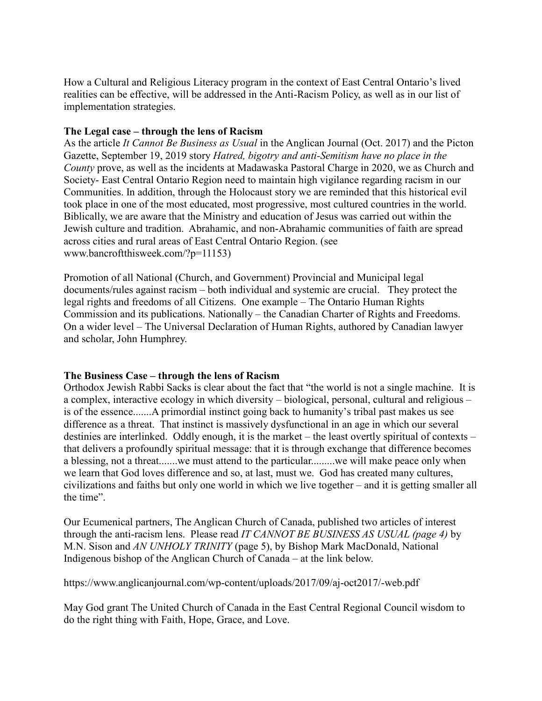How a Cultural and Religious Literacy program in the context of East Central Ontario's lived realities can be effective, will be addressed in the Anti-Racism Policy, as well as in our list of implementation strategies.

### **The Legal case – through the lens of Racism**

As the article *It Cannot Be Business as Usual* in the Anglican Journal (Oct. 2017) and the Picton Gazette, September 19, 2019 story *Hatred, bigotry and anti-Semitism have no place in the County* prove, as well as the incidents at Madawaska Pastoral Charge in 2020, we as Church and Society- East Central Ontario Region need to maintain high vigilance regarding racism in our Communities. In addition, through the Holocaust story we are reminded that this historical evil took place in one of the most educated, most progressive, most cultured countries in the world. Biblically, we are aware that the Ministry and education of Jesus was carried out within the Jewish culture and tradition. Abrahamic, and non-Abrahamic communities of faith are spread across cities and rural areas of East Central Ontario Region. (see [www.bancroftthisweek.com/?p=11153\)](about:blank)

Promotion of all National (Church, and Government) Provincial and Municipal legal documents/rules against racism – both individual and systemic are crucial. They protect the legal rights and freedoms of all Citizens. One example – The Ontario Human Rights Commission and its publications. Nationally – the Canadian Charter of Rights and Freedoms. On a wider level – The Universal Declaration of Human Rights, authored by Canadian lawyer and scholar, John Humphrey.

#### **The Business Case – through the lens of Racism**

Orthodox Jewish Rabbi Sacks is clear about the fact that "the world is not a single machine. It is a complex, interactive ecology in which diversity – biological, personal, cultural and religious – is of the essence.......A primordial instinct going back to humanity's tribal past makes us see difference as a threat. That instinct is massively dysfunctional in an age in which our several destinies are interlinked. Oddly enough, it is the market – the least overtly spiritual of contexts – that delivers a profoundly spiritual message: that it is through exchange that difference becomes a blessing, not a threat.......we must attend to the particular.........we will make peace only when we learn that God loves difference and so, at last, must we. God has created many cultures, civilizations and faiths but only one world in which we live together – and it is getting smaller all the time".

Our Ecumenical partners, The Anglican Church of Canada, published two articles of interest through the anti-racism lens. Please read *IT CANNOT BE BUSINESS AS USUAL (page 4)* by M.N. Sison and *AN UNHOLY TRINITY* (page 5), by Bishop Mark MacDonald, National Indigenous bishop of the Anglican Church of Canada – at the link below.

[https://www.anglicanjournal.com/wp-content/uploads/2017/09/aj-oct2017/-web.pdf](about:blank)

May God grant The United Church of Canada in the East Central Regional Council wisdom to do the right thing with Faith, Hope, Grace, and Love.